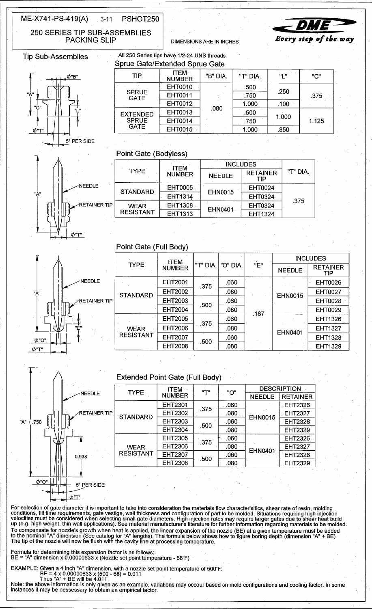#### ME-X741-PS-419(A)  $3 - 11$ PSHOT250

250 SERIES TIP SUB-ASSEMBLIES **PACKING SLIP** 

**NEEDLE** 

**DIMENSIONS ARE IN INCHES** 



**Tip Sub-Assemblies** 



| Sprue Gate/Extended Sprue Gate                 |                              |          |          |               |       |
|------------------------------------------------|------------------------------|----------|----------|---------------|-------|
| <b>TIP</b>                                     | <b>ITEM</b><br><b>NUMBER</b> | "B" DIA. | "T" DIA. | 픽 프           | "C"   |
| <b>SPRUE</b><br><b>GATE</b>                    | <b>EHT0010</b>               | ×.       | .500     | .250          | .375  |
|                                                | <b>EHT0011</b>               |          | .750     |               |       |
|                                                | <b>EHT0012</b>               |          | 1.000    | .100          |       |
| <b>EXTENDED</b><br><b>SPRUE</b><br><b>GATE</b> | EHT0013                      | .080     | .500     | 1.000<br>.850 | 1.125 |
|                                                | <b>EHT0014</b>               |          | .750     |               |       |
|                                                | EHT0015                      |          | 1.000    |               |       |

## Point Gate (Bodyless)

All 250 Series tips have 1/2-24 UNS threads

|               |                                 | <b>ITEM</b>    | <b>INCLUDES</b> |                        |          |  |
|---------------|---------------------------------|----------------|-----------------|------------------------|----------|--|
|               | <b>TYPE</b>                     | <b>NUMBER</b>  | <b>NEEDLE</b>   | <b>RETAINER</b><br>TIP | "T" DIA. |  |
| <b>NEEDLE</b> | <b>STANDARD</b>                 | EHT0005        |                 | <b>EHT0024</b>         | .375     |  |
|               |                                 | <b>EHT1314</b> | <b>EHN0015</b>  | <b>EHT0324</b>         |          |  |
| RETAINER TIP  | <b>WEAR</b><br><b>RESISTANT</b> | EHT1308        | EHN0401         | EHT0324                |          |  |
|               |                                 | EHT1313        |                 | EHT1324                |          |  |





"A"

.750

 $\phi$ "O'

| <b>TYPE</b>                     | <b>ITEM</b><br><b>NUMBER</b> | "T" DIA. | I "O" DIA. | "E"  | <b>INCLUDES</b> |                               |
|---------------------------------|------------------------------|----------|------------|------|-----------------|-------------------------------|
|                                 |                              |          |            |      | <b>NEEDLE</b>   | <b>RETAINER</b><br><b>TIP</b> |
| <b>STANDARD</b>                 | <b>EHT2001</b>               | .375     | .060       | .187 | <b>EHN0015</b>  | <b>EHT0026</b>                |
|                                 | <b>EHT2002</b>               |          | .080       |      |                 | <b>EHT0027</b>                |
|                                 | <b>EHT2003</b>               | .500     | .060       |      |                 | <b>EHT0028</b>                |
|                                 | <b>EHT2004</b>               |          | .080       |      |                 | <b>EHT0029</b>                |
| <b>WEAR</b><br><b>RESISTANT</b> | <b>EHT2005</b>               | .375     | .060       |      | EHN0401         | <b>EHT1326</b>                |
|                                 | <b>EHT2006</b>               |          | .080       |      |                 | <b>EHT1327</b>                |
|                                 | <b>EHT2007</b>               | .500     | .060       |      |                 | <b>EHT1328</b>                |
|                                 | <b>EHT2008</b>               |          | .080       |      |                 | EHT1329                       |

**DESCRIPTION** 

**RETAINER** EHT2326 **EHT2327** 

**EHT2328 EHT2329** EHT2326 **EHT2327** 

**EHT2328 EHT2329** 

# **Extended Point Gate (Full Body)**

| <b>NEEDLE</b>       | <b>TYPE</b>                     | <b>ITEM</b>    | "T"  | "O"  | <b>DESC</b>    |
|---------------------|---------------------------------|----------------|------|------|----------------|
|                     |                                 | <b>NUMBER</b>  |      |      | <b>NEEDLE</b>  |
|                     |                                 | <b>EHT2301</b> | .375 | 060  |                |
| <b>RETAINER TIP</b> | <b>STANDARD</b>                 | <b>EHT2302</b> |      | .080 | <b>EHN0015</b> |
|                     |                                 | EHT2303        |      | .060 |                |
|                     |                                 | <b>EHT2304</b> | .500 | .080 |                |
|                     |                                 | <b>EHT2305</b> | .375 | .060 |                |
| 0.938               | <b>WEAR</b><br><b>RESISTANT</b> | <b>EHT2306</b> |      | .080 | <b>EHN0401</b> |
|                     |                                 | <b>EHT2307</b> | .500 | .060 |                |
|                     |                                 | <b>EHT2308</b> |      | .080 |                |
|                     |                                 |                |      |      |                |
|                     |                                 |                |      |      |                |
| 5° PER SIDE         |                                 |                |      |      |                |

For selection of gate diameter it is important to take into consideration the materials flow characterisitics, shear rate of resin, molding<br>conditions, fill time requirements, gate vestige, wall thickness and configuration To compensate for nozzle's growth when heat is applied, the linear expansion of the nozzle (BE) at a given temperature must be added<br>to the nominal "A" dimension (See catalog for "A" lengths). The formula below shows how t

Formula for determining this expansion factor is as follows:<br>BE = "A" dimension x 0.00000633 x (Nozzle set point temperature - 68°F)

Ø"T"

EXAMPLE: Given a 4 inch "A" dimension, with a nozzle set point temperature of 500°F:<br>BE = 4 x 0.00000633 x (500 - 68) = 0.011<br>Thus "A" + BE will be 4.011

Note: the above information is only given as an example, variations may occour based on mold configurations and cooling factor. In some instances it may be nessessary to obtain an empirical factor.